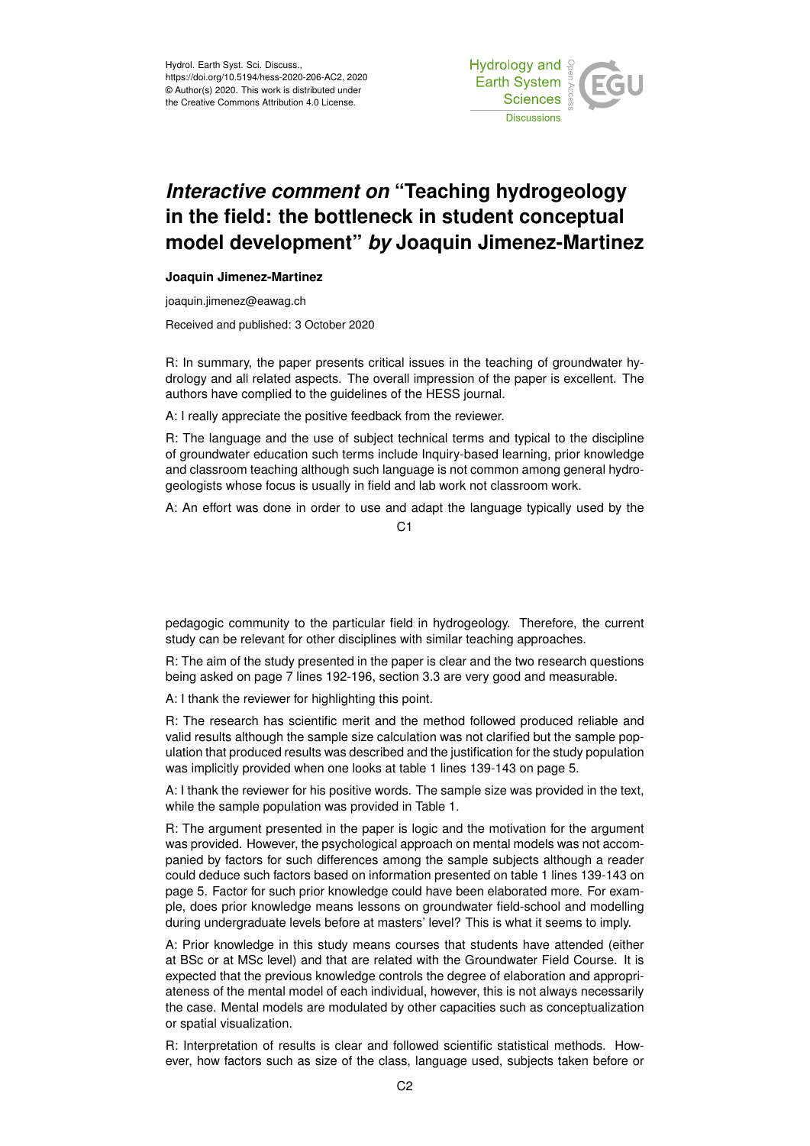

## *Interactive comment on* **"Teaching hydrogeology in the field: the bottleneck in student conceptual model development"** *by* **Joaquin Jimenez-Martinez**

## **Joaquin Jimenez-Martinez**

joaquin.jimenez@eawag.ch

Received and published: 3 October 2020

R: In summary, the paper presents critical issues in the teaching of groundwater hydrology and all related aspects. The overall impression of the paper is excellent. The authors have complied to the guidelines of the HESS journal.

A: I really appreciate the positive feedback from the reviewer.

R: The language and the use of subject technical terms and typical to the discipline of groundwater education such terms include Inquiry-based learning, prior knowledge and classroom teaching although such language is not common among general hydrogeologists whose focus is usually in field and lab work not classroom work.

A: An effort was done in order to use and adapt the language typically used by the

 $C<sub>1</sub>$ 

pedagogic community to the particular field in hydrogeology. Therefore, the current study can be relevant for other disciplines with similar teaching approaches.

R: The aim of the study presented in the paper is clear and the two research questions being asked on page 7 lines 192-196, section 3.3 are very good and measurable.

A: I thank the reviewer for highlighting this point.

R: The research has scientific merit and the method followed produced reliable and valid results although the sample size calculation was not clarified but the sample population that produced results was described and the justification for the study population was implicitly provided when one looks at table 1 lines 139-143 on page 5.

A: I thank the reviewer for his positive words. The sample size was provided in the text, while the sample population was provided in Table 1.

R: The argument presented in the paper is logic and the motivation for the argument was provided. However, the psychological approach on mental models was not accompanied by factors for such differences among the sample subjects although a reader could deduce such factors based on information presented on table 1 lines 139-143 on page 5. Factor for such prior knowledge could have been elaborated more. For example, does prior knowledge means lessons on groundwater field-school and modelling during undergraduate levels before at masters' level? This is what it seems to imply.

A: Prior knowledge in this study means courses that students have attended (either at BSc or at MSc level) and that are related with the Groundwater Field Course. It is expected that the previous knowledge controls the degree of elaboration and appropriateness of the mental model of each individual, however, this is not always necessarily the case. Mental models are modulated by other capacities such as conceptualization or spatial visualization.

R: Interpretation of results is clear and followed scientific statistical methods. However, how factors such as size of the class, language used, subjects taken before or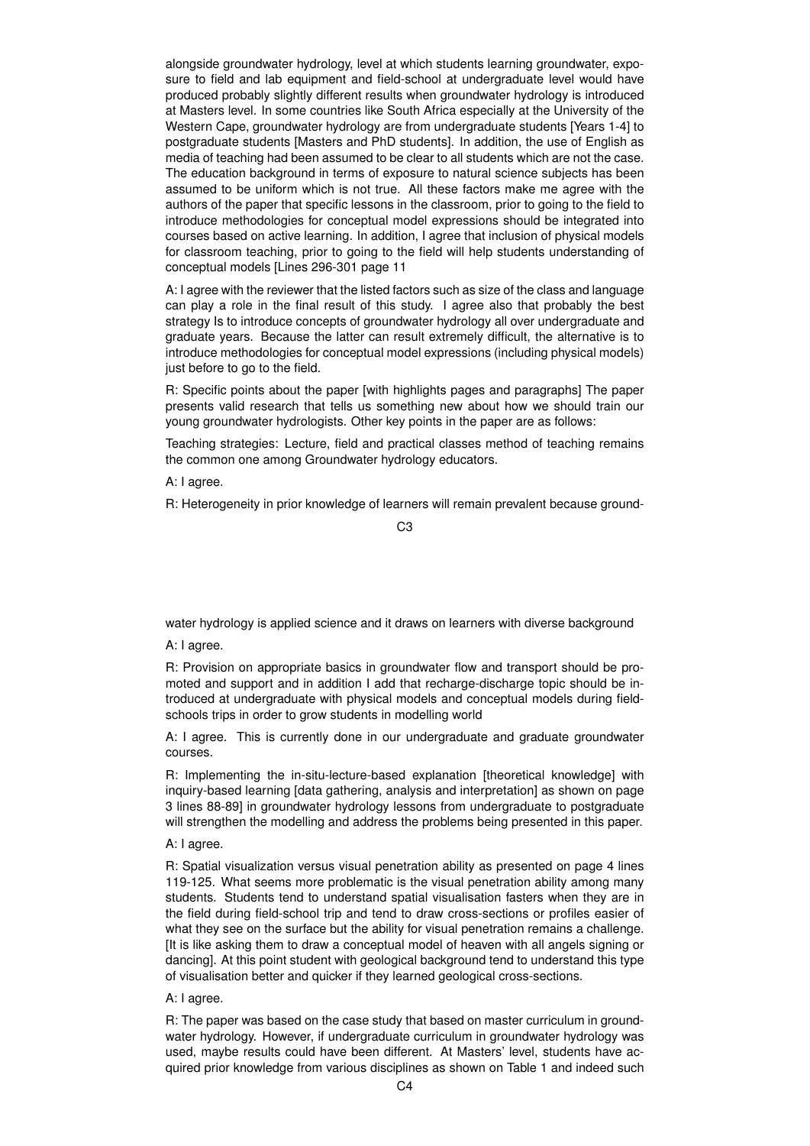alongside groundwater hydrology, level at which students learning groundwater, exposure to field and lab equipment and field-school at undergraduate level would have produced probably slightly different results when groundwater hydrology is introduced at Masters level. In some countries like South Africa especially at the University of the Western Cape, groundwater hydrology are from undergraduate students [Years 1-4] to postgraduate students [Masters and PhD students]. In addition, the use of English as media of teaching had been assumed to be clear to all students which are not the case. The education background in terms of exposure to natural science subjects has been assumed to be uniform which is not true. All these factors make me agree with the authors of the paper that specific lessons in the classroom, prior to going to the field to introduce methodologies for conceptual model expressions should be integrated into courses based on active learning. In addition, I agree that inclusion of physical models for classroom teaching, prior to going to the field will help students understanding of conceptual models [Lines 296-301 page 11

A: I agree with the reviewer that the listed factors such as size of the class and language can play a role in the final result of this study. I agree also that probably the best strategy Is to introduce concepts of groundwater hydrology all over undergraduate and graduate years. Because the latter can result extremely difficult, the alternative is to introduce methodologies for conceptual model expressions (including physical models) just before to go to the field.

R: Specific points about the paper [with highlights pages and paragraphs] The paper presents valid research that tells us something new about how we should train our young groundwater hydrologists. Other key points in the paper are as follows:

Teaching strategies: Lecture, field and practical classes method of teaching remains the common one among Groundwater hydrology educators.

A: I agree.

R: Heterogeneity in prior knowledge of learners will remain prevalent because ground-

water hydrology is applied science and it draws on learners with diverse background

A: I agree.

R: Provision on appropriate basics in groundwater flow and transport should be promoted and support and in addition I add that recharge-discharge topic should be introduced at undergraduate with physical models and conceptual models during fieldschools trips in order to grow students in modelling world

A: I agree. This is currently done in our undergraduate and graduate groundwater courses.

R: Implementing the in-situ-lecture-based explanation [theoretical knowledge] with inquiry-based learning [data gathering, analysis and interpretation] as shown on page 3 lines 88-89] in groundwater hydrology lessons from undergraduate to postgraduate will strengthen the modelling and address the problems being presented in this paper.

## A: I agree.

R: Spatial visualization versus visual penetration ability as presented on page 4 lines 119-125. What seems more problematic is the visual penetration ability among many students. Students tend to understand spatial visualisation fasters when they are in the field during field-school trip and tend to draw cross-sections or profiles easier of what they see on the surface but the ability for visual penetration remains a challenge. [It is like asking them to draw a conceptual model of heaven with all angels signing or dancing]. At this point student with geological background tend to understand this type of visualisation better and quicker if they learned geological cross-sections.

A: I agree.

R: The paper was based on the case study that based on master curriculum in groundwater hydrology. However, if undergraduate curriculum in groundwater hydrology was used, maybe results could have been different. At Masters' level, students have acquired prior knowledge from various disciplines as shown on Table 1 and indeed such